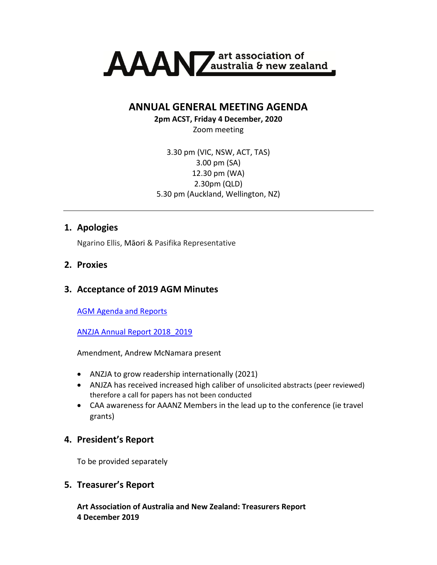

**ANNUAL GENERAL MEETING AGENDA**

**2pm ACST, Friday 4 December, 2020**

Zoom meeting

3.30 pm (VIC, NSW, ACT, TAS) 3.00 pm (SA) 12.30 pm (WA) 2.30pm (QLD) 5.30 pm (Auckland, Wellington, NZ)

### **1. Apologies**

Ngarino Ellis, Māori & Pasifika Representative

## **2. Proxies**

## **3. Acceptance of 2019 AGM Minutes**

[AGM Agenda and Reports](Art%20Association%20of%20Australia%20and%20New%20Zealand:%20Treasurers%20Report)

[ANZJA Annual Report 2018\\_2019](https://www.dropbox.com/s/sacpadgar0majt1/ANZJA%20Annual%20Report%202018_2019.pdf?dl=0)

Amendment, Andrew McNamara present

- ANZJA to grow readership internationally (2021)
- ANJZA has received increased high caliber of unsolicited abstracts (peer reviewed) therefore a call for papers has not been conducted
- CAA awareness for AAANZ Members in the lead up to the conference (ie travel grants)

## **4. President's Report**

To be provided separately

### **5. Treasurer's Report**

**Art Association of Australia and New Zealand: Treasurers Report 4 December 2019**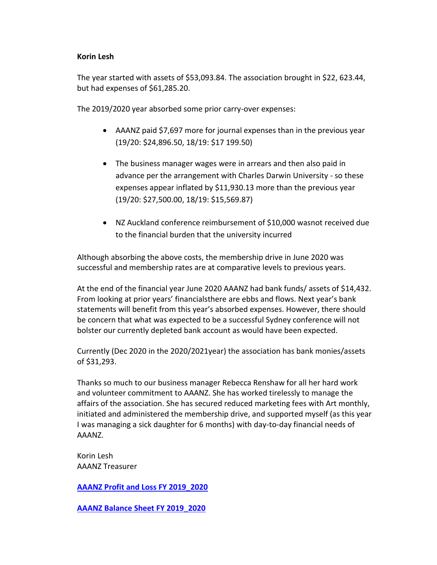#### **Korin Lesh**

The year started with assets of \$53,093.84. The association brought in \$22, 623.44, but had expenses of \$61,285.20.

The 2019/2020 year absorbed some prior carry-over expenses:

- AAANZ paid \$7,697 more for journal expenses than in the previous year (19/20: \$24,896.50, 18/19: \$17 199.50)
- The business manager wages were in arrears and then also paid in advance per the arrangement with Charles Darwin University - so these expenses appear inflated by \$11,930.13 more than the previous year (19/20: \$27,500.00, 18/19: \$15,569.87)
- NZ Auckland conference reimbursement of \$10,000 wasnot received due to the financial burden that the university incurred

Although absorbing the above costs, the membership drive in June 2020 was successful and membership rates are at comparative levels to previous years.

At the end of the financial year June 2020 AAANZ had bank funds/ assets of \$14,432. From looking at prior years' financialsthere are ebbs and flows. Next year's bank statements will benefit from this year's absorbed expenses. However, there should be concern that what was expected to be a successful Sydney conference will not bolster our currently depleted bank account as would have been expected.

Currently (Dec 2020 in the 2020/2021year) the association has bank monies/assets of \$31,293.

Thanks so much to our business manager Rebecca Renshaw for all her hard work and volunteer commitment to AAANZ. She has worked tirelessly to manage the affairs of the association. She has secured reduced marketing fees with Art monthly, initiated and administered the membership drive, and supported myself (as this year I was managing a sick daughter for 6 months) with day-to-day financial needs of AAANZ.

Korin Lesh AAANZ Treasurer

**[AAANZ Profit and Loss FY 2019\\_2020](https://www.dropbox.com/s/4pyhm4mb99tffln/AAANZ%20Profit%20and%20Loss%20FY%202019_2020.pdf?dl=0)**

**[AAANZ Balance Sheet FY 2019\\_2020](https://www.dropbox.com/s/0eyqlruaq8bjgxs/AAANZ%20Balance%20Sheet%20FY%202019_2020.pdf?dl=0)**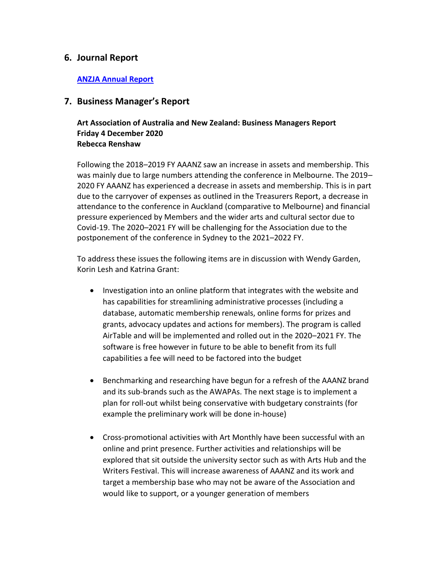### **6. Journal Report**

#### **[ANZJA Annual Report](https://www.dropbox.com/s/tjg9jp8li77d5yr/ANZJA%20Annual%20Report%202019_2020.pdf?dl=0)**

### **7. Business Manager's Report**

#### **Art Association of Australia and New Zealand: Business Managers Report Friday 4 December 2020 Rebecca Renshaw**

Following the 2018–2019 FY AAANZ saw an increase in assets and membership. This was mainly due to large numbers attending the conference in Melbourne. The 2019– 2020 FY AAANZ has experienced a decrease in assets and membership. This is in part due to the carryover of expenses as outlined in the Treasurers Report, a decrease in attendance to the conference in Auckland (comparative to Melbourne) and financial pressure experienced by Members and the wider arts and cultural sector due to Covid-19. The 2020–2021 FY will be challenging for the Association due to the postponement of the conference in Sydney to the 2021–2022 FY.

To address these issues the following items are in discussion with Wendy Garden, Korin Lesh and Katrina Grant:

- Investigation into an online platform that integrates with the website and has capabilities for streamlining administrative processes (including a database, automatic membership renewals, online forms for prizes and grants, advocacy updates and actions for members). The program is called AirTable and will be implemented and rolled out in the 2020–2021 FY. The software is free however in future to be able to benefit from its full capabilities a fee will need to be factored into the budget
- Benchmarking and researching have begun for a refresh of the AAANZ brand and its sub-brands such as the AWAPAs. The next stage is to implement a plan for roll-out whilst being conservative with budgetary constraints (for example the preliminary work will be done in-house)
- Cross-promotional activities with Art Monthly have been successful with an online and print presence. Further activities and relationships will be explored that sit outside the university sector such as with Arts Hub and the Writers Festival. This will increase awareness of AAANZ and its work and target a membership base who may not be aware of the Association and would like to support, or a younger generation of members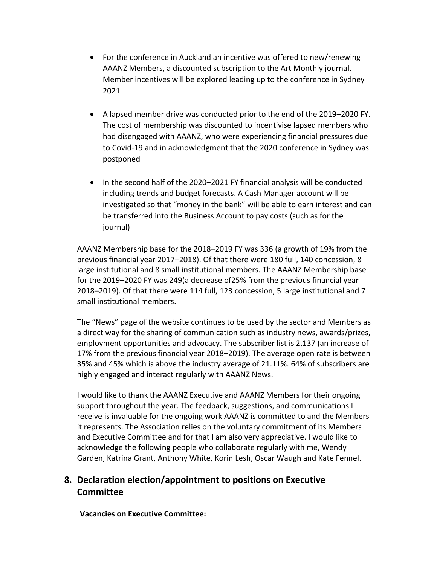- For the conference in Auckland an incentive was offered to new/renewing AAANZ Members, a discounted subscription to the Art Monthly journal. Member incentives will be explored leading up to the conference in Sydney 2021
- A lapsed member drive was conducted prior to the end of the 2019–2020 FY. The cost of membership was discounted to incentivise lapsed members who had disengaged with AAANZ, who were experiencing financial pressures due to Covid-19 and in acknowledgment that the 2020 conference in Sydney was postponed
- In the second half of the 2020–2021 FY financial analysis will be conducted including trends and budget forecasts. A Cash Manager account will be investigated so that "money in the bank" will be able to earn interest and can be transferred into the Business Account to pay costs (such as for the journal)

AAANZ Membership base for the 2018–2019 FY was 336 (a growth of 19% from the previous financial year 2017–2018). Of that there were 180 full, 140 concession, 8 large institutional and 8 small institutional members. The AAANZ Membership base for the 2019–2020 FY was 249(a decrease of25% from the previous financial year 2018–2019). Of that there were 114 full, 123 concession, 5 large institutional and 7 small institutional members.

The "News" page of the website continues to be used by the sector and Members as a direct way for the sharing of communication such as industry news, awards/prizes, employment opportunities and advocacy. The subscriber list is 2,137 (an increase of 17% from the previous financial year 2018–2019). The average open rate is between 35% and 45% which is above the industry average of 21.11%. 64% of subscribers are highly engaged and interact regularly with AAANZ News.

I would like to thank the AAANZ Executive and AAANZ Members for their ongoing support throughout the year. The feedback, suggestions, and communications I receive is invaluable for the ongoing work AAANZ is committed to and the Members it represents. The Association relies on the voluntary commitment of its Members and Executive Committee and for that I am also very appreciative. I would like to acknowledge the following people who collaborate regularly with me, Wendy Garden, Katrina Grant, Anthony White, Korin Lesh, Oscar Waugh and Kate Fennel.

# **8. Declaration election/appointment to positions on Executive Committee**

### **Vacancies on Executive Committee:**